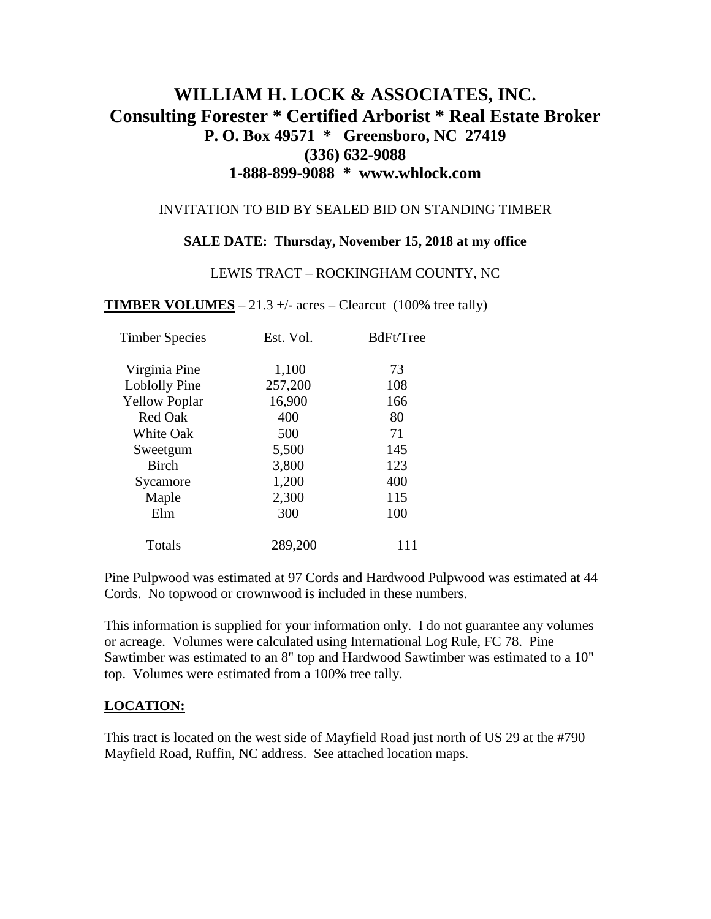# **WILLIAM H. LOCK & ASSOCIATES, INC. Consulting Forester \* Certified Arborist \* Real Estate Broker P. O. Box 49571 \* Greensboro, NC 27419 (336) 632-9088 1-888-899-9088 \* www.whlock.com**

#### INVITATION TO BID BY SEALED BID ON STANDING TIMBER

### **SALE DATE: Thursday, November 15, 2018 at my office**

#### LEWIS TRACT – ROCKINGHAM COUNTY, NC

**TIMBER VOLUMES** – 21.3 +/- acres – Clearcut (100% tree tally)

| <b>Timber Species</b> | Est. Vol. | BdFt/Tree |
|-----------------------|-----------|-----------|
| Virginia Pine         | 1,100     | 73        |
| Loblolly Pine         | 257,200   | 108       |
| <b>Yellow Poplar</b>  | 16,900    | 166       |
| <b>Red Oak</b>        | 400       | 80        |
| <b>White Oak</b>      | 500       | 71        |
| Sweetgum              | 5,500     | 145       |
| <b>Birch</b>          | 3,800     | 123       |
| Sycamore              | 1,200     | 400       |
| Maple                 | 2,300     | 115       |
| Elm                   | 300       | 100       |
| Totals                | 289,200   | 111       |

Pine Pulpwood was estimated at 97 Cords and Hardwood Pulpwood was estimated at 44 Cords. No topwood or crownwood is included in these numbers.

This information is supplied for your information only. I do not guarantee any volumes or acreage. Volumes were calculated using International Log Rule, FC 78. Pine Sawtimber was estimated to an 8" top and Hardwood Sawtimber was estimated to a 10" top. Volumes were estimated from a 100% tree tally.

### **LOCATION:**

This tract is located on the west side of Mayfield Road just north of US 29 at the #790 Mayfield Road, Ruffin, NC address. See attached location maps.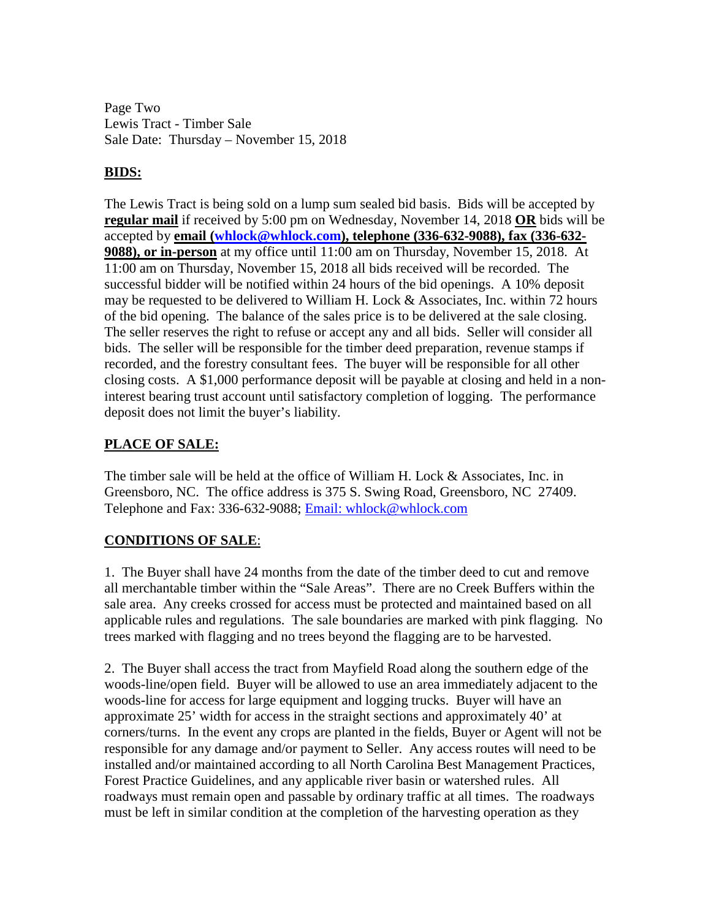Page Two Lewis Tract - Timber Sale Sale Date: Thursday – November 15, 2018

## **BIDS:**

The Lewis Tract is being sold on a lump sum sealed bid basis. Bids will be accepted by **regular mail** if received by 5:00 pm on Wednesday, November 14, 2018 **OR** bids will be accepted by **email [\(whlock@whlock.com\)](mailto:whlock@whlock.com), telephone (336-632-9088), fax (336-632- 9088), or in-person** at my office until 11:00 am on Thursday, November 15, 2018. At 11:00 am on Thursday, November 15, 2018 all bids received will be recorded. The successful bidder will be notified within 24 hours of the bid openings. A 10% deposit may be requested to be delivered to William H. Lock & Associates, Inc. within 72 hours of the bid opening. The balance of the sales price is to be delivered at the sale closing. The seller reserves the right to refuse or accept any and all bids. Seller will consider all bids. The seller will be responsible for the timber deed preparation, revenue stamps if recorded, and the forestry consultant fees. The buyer will be responsible for all other closing costs. A \$1,000 performance deposit will be payable at closing and held in a noninterest bearing trust account until satisfactory completion of logging. The performance deposit does not limit the buyer's liability.

### **PLACE OF SALE:**

The timber sale will be held at the office of William H. Lock & Associates, Inc. in Greensboro, NC. The office address is 375 S. Swing Road, Greensboro, NC 27409. Telephone and Fax: 336-632-9088; [Email: whlock@whlock.com](mailto:Email:%20whlock@whlock.com) 

# **CONDITIONS OF SALE**:

1. The Buyer shall have 24 months from the date of the timber deed to cut and remove all merchantable timber within the "Sale Areas". There are no Creek Buffers within the sale area. Any creeks crossed for access must be protected and maintained based on all applicable rules and regulations. The sale boundaries are marked with pink flagging. No trees marked with flagging and no trees beyond the flagging are to be harvested.

2. The Buyer shall access the tract from Mayfield Road along the southern edge of the woods-line/open field. Buyer will be allowed to use an area immediately adjacent to the woods-line for access for large equipment and logging trucks. Buyer will have an approximate 25' width for access in the straight sections and approximately 40' at corners/turns. In the event any crops are planted in the fields, Buyer or Agent will not be responsible for any damage and/or payment to Seller. Any access routes will need to be installed and/or maintained according to all North Carolina Best Management Practices, Forest Practice Guidelines, and any applicable river basin or watershed rules. All roadways must remain open and passable by ordinary traffic at all times. The roadways must be left in similar condition at the completion of the harvesting operation as they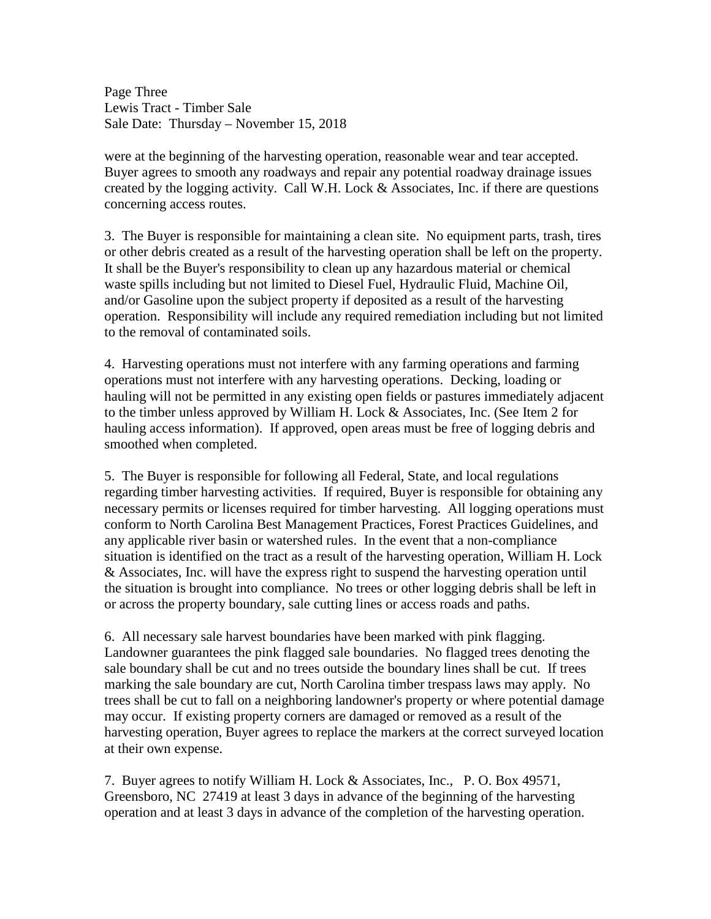Page Three Lewis Tract - Timber Sale Sale Date: Thursday – November 15, 2018

were at the beginning of the harvesting operation, reasonable wear and tear accepted. Buyer agrees to smooth any roadways and repair any potential roadway drainage issues created by the logging activity. Call W.H. Lock & Associates, Inc. if there are questions concerning access routes.

3. The Buyer is responsible for maintaining a clean site. No equipment parts, trash, tires or other debris created as a result of the harvesting operation shall be left on the property. It shall be the Buyer's responsibility to clean up any hazardous material or chemical waste spills including but not limited to Diesel Fuel, Hydraulic Fluid, Machine Oil, and/or Gasoline upon the subject property if deposited as a result of the harvesting operation. Responsibility will include any required remediation including but not limited to the removal of contaminated soils.

4. Harvesting operations must not interfere with any farming operations and farming operations must not interfere with any harvesting operations. Decking, loading or hauling will not be permitted in any existing open fields or pastures immediately adjacent to the timber unless approved by William H. Lock & Associates, Inc. (See Item 2 for hauling access information). If approved, open areas must be free of logging debris and smoothed when completed.

5. The Buyer is responsible for following all Federal, State, and local regulations regarding timber harvesting activities. If required, Buyer is responsible for obtaining any necessary permits or licenses required for timber harvesting. All logging operations must conform to North Carolina Best Management Practices, Forest Practices Guidelines, and any applicable river basin or watershed rules. In the event that a non-compliance situation is identified on the tract as a result of the harvesting operation, William H. Lock & Associates, Inc. will have the express right to suspend the harvesting operation until the situation is brought into compliance. No trees or other logging debris shall be left in or across the property boundary, sale cutting lines or access roads and paths.

6. All necessary sale harvest boundaries have been marked with pink flagging. Landowner guarantees the pink flagged sale boundaries. No flagged trees denoting the sale boundary shall be cut and no trees outside the boundary lines shall be cut. If trees marking the sale boundary are cut, North Carolina timber trespass laws may apply. No trees shall be cut to fall on a neighboring landowner's property or where potential damage may occur. If existing property corners are damaged or removed as a result of the harvesting operation, Buyer agrees to replace the markers at the correct surveyed location at their own expense.

7. Buyer agrees to notify William H. Lock & Associates, Inc., P. O. Box 49571, Greensboro, NC 27419 at least 3 days in advance of the beginning of the harvesting operation and at least 3 days in advance of the completion of the harvesting operation.